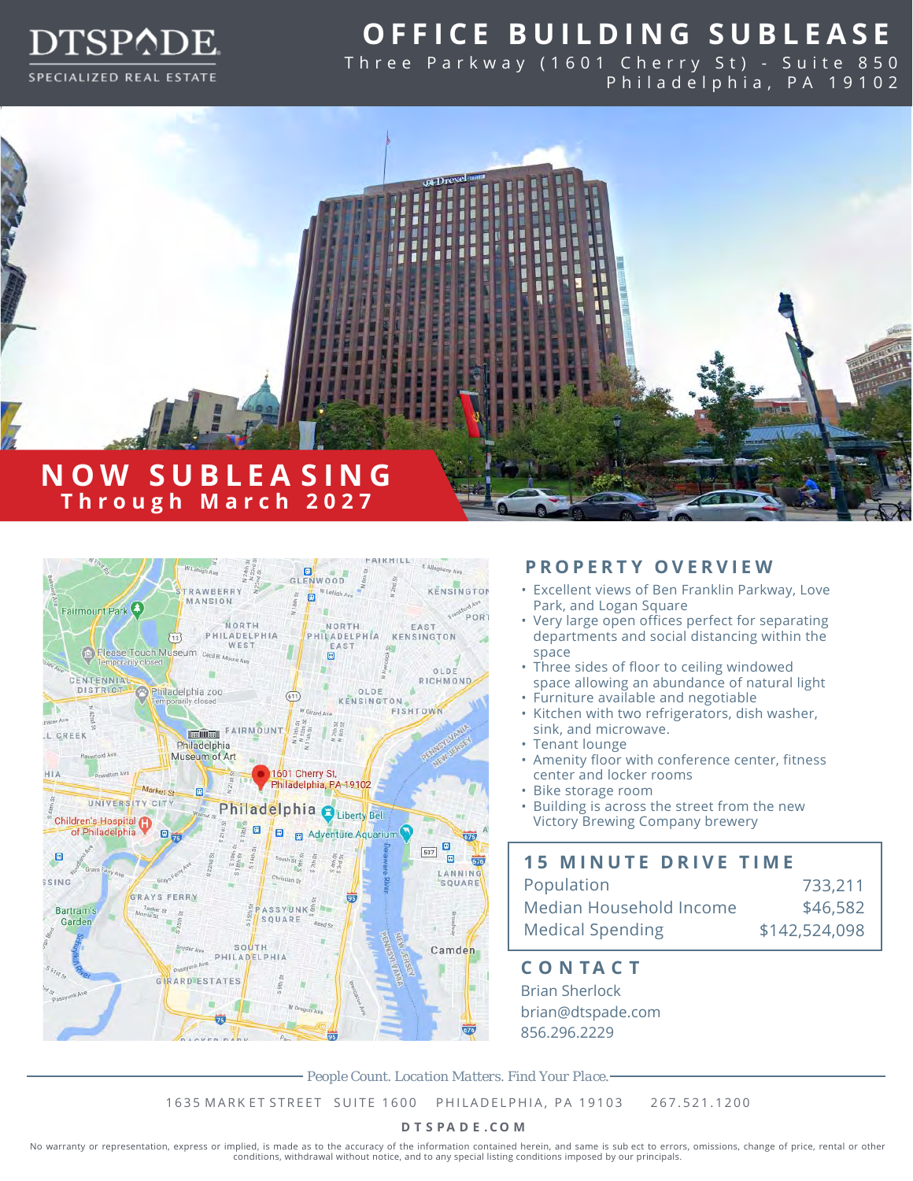

# **O FFI C E B U I LDING SUBLE A S E**

Three Parkway (1601 Cherry St) - Suite 850 Philadelphia, PA 19102





### **PROPERTY OVERVIEW**

- Excellent views of Ben Franklin Parkway, Love Park, and Logan Square
- Very large open offices perfect for separating departments and social distancing within the space
- Three sides of floor to ceiling windowed space allowing an abundance of natural light
- Furniture available and negotiable
- Kitchen with two refrigerators, dish washer, sink, and microwave.
- Tenant lounge
- Amenity floor with conference center, fitness center and locker rooms
- Bike storage room
- Building is across the street from the new Victory Brewing Company brewery

### **15 MINUTE DRIVE TIME**

| Population              | 733,211       |
|-------------------------|---------------|
| Median Household Income | \$46,582      |
| <b>Medical Spending</b> | \$142,524,098 |

**C O N T A C T** Brian Sherlock brian@dtspade.com 856.296.2229

*People Count. Location Matters. Find Your Place.*

1635 MARK ET STREET SUITE 1600 PHILADELPHIA, PA 19103 267.521.1200

#### **D T S P A D E .CO M**

No warranty or representation, express or implied, is made as to the accuracy of the information contained herein, and same is sub ect to errors, omissions, change of price, rental or other conditions, withdrawal without notice, and to any special listing conditions imposed by our principals.